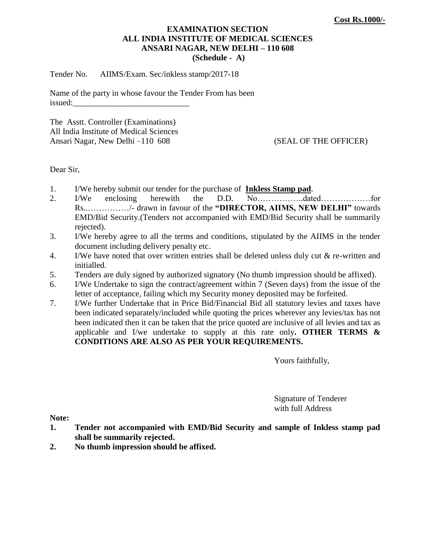#### **EXAMINATION SECTION ALL INDIA INSTITUTE OF MEDICAL SCIENCES ANSARI NAGAR, NEW DELHI – 110 608 (Schedule - A)**

Tender No. AIIMS/Exam. Sec/inkless stamp/2017-18

Name of the party in whose favour the Tender From has been issued:

The Asstt. Controller (Examinations) All India Institute of Medical Sciences Ansari Nagar, New Delhi –110 608 (SEAL OF THE OFFICER)

Dear Sir,

- 1. I/We hereby submit our tender for the purchase of **Inkless Stamp pad**.
- 2. I/We enclosing herewith the D.D. No……………..dated………………for Rs................../- drawn in favour of the "DIRECTOR, AIIMS, NEW DELHI" towards EMD/Bid Security.(Tenders not accompanied with EMD/Bid Security shall be summarily rejected).
- 3. I/We hereby agree to all the terms and conditions, stipulated by the AIIMS in the tender document including delivery penalty etc.
- 4. I/We have noted that over written entries shall be deleted unless duly cut & re-written and initialled.
- 5. Tenders are duly signed by authorized signatory (No thumb impression should be affixed).
- 6. I/We Undertake to sign the contract/agreement within 7 (Seven days) from the issue of the letter of acceptance, failing which my Security money deposited may be forfeited.
- 7. I/We further Undertake that in Price Bid/Financial Bid all statutory levies and taxes have been indicated separately/included while quoting the prices wherever any levies/tax has not been indicated then it can be taken that the price quoted are inclusive of all levies and tax as applicable and I/we undertake to supply at this rate only**. OTHER TERMS & CONDITIONS ARE ALSO AS PER YOUR REQUIREMENTS.**

Yours faithfully,

Signature of Tenderer with full Address

**Note:**

- **1. Tender not accompanied with EMD/Bid Security and sample of Inkless stamp pad shall be summarily rejected.**
- **2. No thumb impression should be affixed.**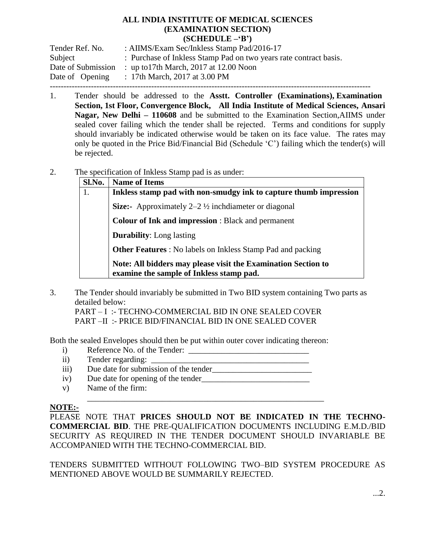#### **ALL INDIA INSTITUTE OF MEDICAL SCIENCES (EXAMINATION SECTION) (SCHEDULE –‗B')**

| Tender Ref. No.    | : AIIMS/Exam Sec/Inkless Stamp Pad/2016-17                        |
|--------------------|-------------------------------------------------------------------|
| Subject            | : Purchase of Inkless Stamp Pad on two years rate contract basis. |
| Date of Submission | : up to 17th March, $2017$ at 12.00 Noon                          |
| Date of Opening    | : 17th March, 2017 at 3.00 PM                                     |
|                    |                                                                   |

- 1. Tender should be addressed to the **Asstt. Controller (Examinations), Examination Section, 1st Floor, Convergence Block, All India Institute of Medical Sciences, Ansari Nagar, New Delhi – 110608** and be submitted to the Examination Section,AIIMS under sealed cover failing which the tender shall be rejected. Terms and conditions for supply should invariably be indicated otherwise would be taken on its face value. The rates may only be quoted in the Price Bid/Financial Bid (Schedule "C") failing which the tender(s) will be rejected.
- 2. The specification of Inkless Stamp pad is as under:

| Sl.No. | <b>Name of Items</b>                                                                                      |  |  |  |
|--------|-----------------------------------------------------------------------------------------------------------|--|--|--|
| 1.     | Inkless stamp pad with non-smudgy ink to capture thumb impression                                         |  |  |  |
|        | <b>Size:</b> Approximately $2-2\frac{1}{2}$ inchdiameter or diagonal                                      |  |  |  |
|        | <b>Colour of Ink and impression: Black and permanent</b>                                                  |  |  |  |
|        | <b>Durability:</b> Long lasting                                                                           |  |  |  |
|        | <b>Other Features</b> : No labels on Inkless Stamp Pad and packing                                        |  |  |  |
|        | Note: All bidders may please visit the Examination Section to<br>examine the sample of Inkless stamp pad. |  |  |  |

3. The Tender should invariably be submitted in Two BID system containing Two parts as detailed below:

PART – I :- TECHNO-COMMERCIAL BID IN ONE SEALED COVER PART –II :- PRICE BID/FINANCIAL BID IN ONE SEALED COVER

Both the sealed Envelopes should then be put within outer cover indicating thereon:

- i) Reference No. of the Tender: \_\_\_\_\_\_\_\_\_\_\_\_\_\_\_\_\_\_\_\_\_\_\_\_\_\_\_\_\_
- ii) Tender regarding:
- iii) Due date for submission of the tender
- iv) Due date for opening of the tender\_\_\_\_\_\_\_\_\_\_\_\_\_\_\_\_\_\_\_\_\_\_\_\_\_\_
- v) Name of the firm:

# **NOTE:-**

PLEASE NOTE THAT **PRICES SHOULD NOT BE INDICATED IN THE TECHNO-COMMERCIAL BID**. THE PRE-QUALIFICATION DOCUMENTS INCLUDING E.M.D./BID SECURITY AS REQUIRED IN THE TENDER DOCUMENT SHOULD INVARIABLE BE ACCOMPANIED WITH THE TECHNO-COMMERCIAL BID.

\_\_\_\_\_\_\_\_\_\_\_\_\_\_\_\_\_\_\_\_\_\_\_\_\_\_\_\_\_\_\_\_\_\_\_\_\_\_\_\_\_\_\_\_\_\_\_\_\_\_\_\_\_\_\_\_\_

TENDERS SUBMITTED WITHOUT FOLLOWING TWO–BID SYSTEM PROCEDURE AS MENTIONED ABOVE WOULD BE SUMMARILY REJECTED.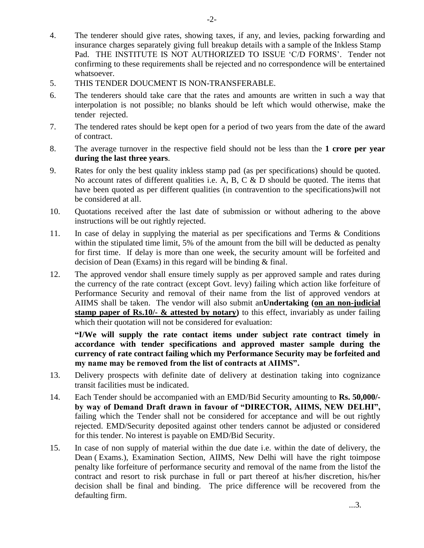- 4. The tenderer should give rates, showing taxes, if any, and levies, packing forwarding and insurance charges separately giving full breakup details with a sample of the Inkless Stamp Pad. THE INSTITUTE IS NOT AUTHORIZED TO ISSUE 'C/D FORMS'. Tender not confirming to these requirements shall be rejected and no correspondence will be entertained whatsoever.
- 5. THIS TENDER DOUCMENT IS NON-TRANSFERABLE.
- 6. The tenderers should take care that the rates and amounts are written in such a way that interpolation is not possible; no blanks should be left which would otherwise, make the tender rejected.
- 7. The tendered rates should be kept open for a period of two years from the date of the award of contract.
- 8. The average turnover in the respective field should not be less than the **1 crore per year during the last three years**.
- 9. Rates for only the best quality inkless stamp pad (as per specifications) should be quoted. No account rates of different qualities i.e. A, B, C  $\&$  D should be quoted. The items that have been quoted as per different qualities (in contravention to the specifications)will not be considered at all.
- 10. Quotations received after the last date of submission or without adhering to the above instructions will be out rightly rejected.
- 11. In case of delay in supplying the material as per specifications and Terms & Conditions within the stipulated time limit, 5% of the amount from the bill will be deducted as penalty for first time. If delay is more than one week, the security amount will be forfeited and decision of Dean (Exams) in this regard will be binding & final.
- 12. The approved vendor shall ensure timely supply as per approved sample and rates during the currency of the rate contract (except Govt. levy) failing which action like forfeiture of Performance Security and removal of their name from the list of approved vendors at AIIMS shall be taken. The vendor will also submit an**Undertaking (on an non-judicial stamp paper of Rs.10/- & attested by notary)** to this effect, invariably as under failing which their quotation will not be considered for evaluation:

**―I/We will supply the rate contact items under subject rate contract timely in accordance with tender specifications and approved master sample during the currency of rate contract failing which my Performance Security may be forfeited and**  my name may be removed from the list of contracts at AIIMS".

- 13. Delivery prospects with definite date of delivery at destination taking into cognizance transit facilities must be indicated.
- 14. Each Tender should be accompanied with an EMD/Bid Security amounting to **Rs. 50,000/**  by way of Demand Draft drawn in favour of "DIRECTOR, AIIMS, NEW DELHI", failing which the Tender shall not be considered for acceptance and will be out rightly rejected. EMD/Security deposited against other tenders cannot be adjusted or considered for this tender. No interest is payable on EMD/Bid Security.
- 15. In case of non supply of material within the due date i.e. within the date of delivery, the Dean ( Exams.), Examination Section, AIIMS, New Delhi will have the right toimpose penalty like forfeiture of performance security and removal of the name from the listof the contract and resort to risk purchase in full or part thereof at his/her discretion, his/her decision shall be final and binding. The price difference will be recovered from the defaulting firm.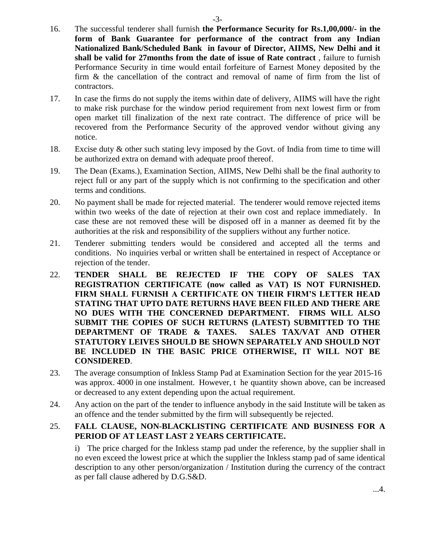- 16. The successful tenderer shall furnish **the Performance Security for Rs.1,00,000/- in the form of Bank Guarantee for performance of the contract from any Indian Nationalized Bank/Scheduled Bank in favour of Director, AIIMS, New Delhi and it shall be valid for 27months from the date of issue of Rate contract** , failure to furnish Performance Security in time would entail forfeiture of Earnest Money deposited by the firm & the cancellation of the contract and removal of name of firm from the list of contractors.
- 17. In case the firms do not supply the items within date of delivery, AIIMS will have the right to make risk purchase for the window period requirement from next lowest firm or from open market till finalization of the next rate contract. The difference of price will be recovered from the Performance Security of the approved vendor without giving any notice.
- 18. Excise duty & other such stating levy imposed by the Govt. of India from time to time will be authorized extra on demand with adequate proof thereof.
- 19. The Dean (Exams.), Examination Section, AIIMS, New Delhi shall be the final authority to reject full or any part of the supply which is not confirming to the specification and other terms and conditions.
- 20. No payment shall be made for rejected material. The tenderer would remove rejected items within two weeks of the date of rejection at their own cost and replace immediately. In case these are not removed these will be disposed off in a manner as deemed fit by the authorities at the risk and responsibility of the suppliers without any further notice.
- 21. Tenderer submitting tenders would be considered and accepted all the terms and conditions. No inquiries verbal or written shall be entertained in respect of Acceptance or rejection of the tender.
- 22. **TENDER SHALL BE REJECTED IF THE COPY OF SALES TAX REGISTRATION CERTIFICATE (now called as VAT) IS NOT FURNISHED. FIRM SHALL FURNISH A CERTIFICATE ON THEIR FIRM'S LETTER HEAD STATING THAT UPTO DATE RETURNS HAVE BEEN FILED AND THERE ARE NO DUES WITH THE CONCERNED DEPARTMENT. FIRMS WILL ALSO SUBMIT THE COPIES OF SUCH RETURNS (LATEST) SUBMITTED TO THE DEPARTMENT OF TRADE & TAXES. SALES TAX/VAT AND OTHER STATUTORY LEIVES SHOULD BE SHOWN SEPARATELY AND SHOULD NOT BE INCLUDED IN THE BASIC PRICE OTHERWISE, IT WILL NOT BE CONSIDERED**.
- 23. The average consumption of Inkless Stamp Pad at Examination Section for the year 2015-16 was approx. 4000 in one instalment. However, t he quantity shown above, can be increased or decreased to any extent depending upon the actual requirement.
- 24. Any action on the part of the tender to influence anybody in the said Institute will be taken as an offence and the tender submitted by the firm will subsequently be rejected.

# 25. **FALL CLAUSE, NON-BLACKLISTING CERTIFICATE AND BUSINESS FOR A PERIOD OF AT LEAST LAST 2 YEARS CERTIFICATE.**

i) The price charged for the Inkless stamp pad under the reference, by the supplier shall in no even exceed the lowest price at which the supplier the Inkless stamp pad of same identical description to any other person/organization / Institution during the currency of the contract as per fall clause adhered by D.G.S&D.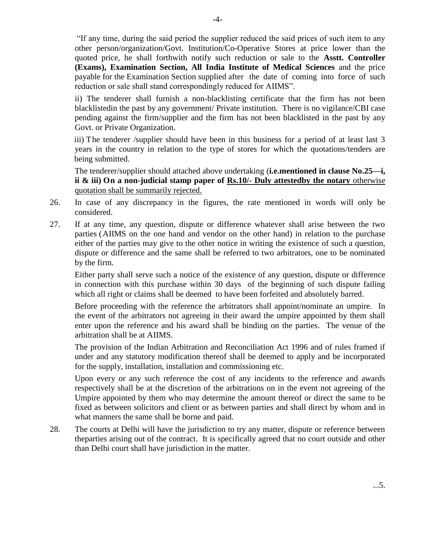"If any time, during the said period the supplier reduced the said prices of such item to any other person/organization/Govt. Institution/Co-Operative Stores at price lower than the quoted price, he shall forthwith notify such reduction or sale to the **Asstt. Controller (Exams), Examination Section, All India Institute of Medical Sciences** and the price payable for the Examination Section supplied after the date of coming into force of such reduction or sale shall stand correspondingly reduced for AIIMS".

ii) The tenderer shall furnish a non-blacklisting certificate that the firm has not been blacklistedin the past by any government/ Private institution. There is no vigilance/CBI case pending against the firm/supplier and the firm has not been blacklisted in the past by any Govt. or Private Organization.

iii) The tenderer /supplier should have been in this business for a period of at least last 3 years in the country in relation to the type of stores for which the quotations/tenders are being submitted.

The tenderer/supplier should attached above undertaking (**i.e.mentioned in clause No.25—i, ii & iii) On a non-judicial stamp paper of Rs.10/- Duly attestedby the notary** otherwise quotation shall be summarily rejected.

- 26. In case of any discrepancy in the figures, the rate mentioned in words will only be considered.
- 27. If at any time, any question, dispute or difference whatever shall arise between the two parties (AIIMS on the one hand and vendor on the other hand) in relation to the purchase either of the parties may give to the other notice in writing the existence of such a question, dispute or difference and the same shall be referred to two arbitrators, one to be nominated by the firm.

Either party shall serve such a notice of the existence of any question, dispute or difference in connection with this purchase within 30 days of the beginning of such dispute failing which all right or claims shall be deemed to have been forfeited and absolutely barred.

Before proceeding with the reference the arbitrators shall appoint/nominate an umpire. In the event of the arbitrators not agreeing in their award the umpire appointed by them shall enter upon the reference and his award shall be binding on the parties. The venue of the arbitration shall be at AIIMS.

The provision of the Indian Arbitration and Reconciliation Act 1996 and of rules framed if under and any statutory modification thereof shall be deemed to apply and be incorporated for the supply, installation, installation and commissioning etc.

Upon every or any such reference the cost of any incidents to the reference and awards respectively shall be at the discretion of the arbitrations on in the event not agreeing of the Umpire appointed by them who may determine the amount thereof or direct the same to be fixed as between solicitors and client or as between parties and shall direct by whom and in what manners the same shall be borne and paid.

28. The courts at Delhi will have the jurisdiction to try any matter, dispute or reference between theparties arising out of the contract. It is specifically agreed that no court outside and other than Delhi court shall have jurisdiction in the matter.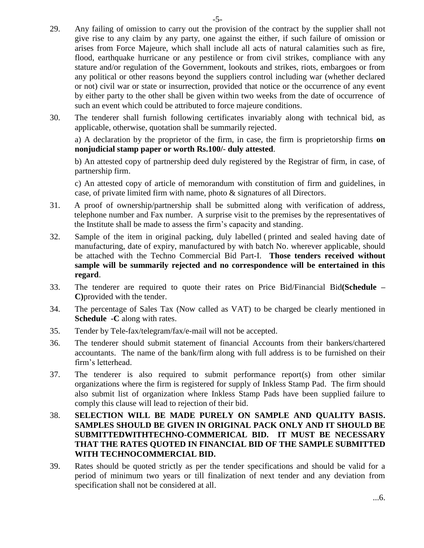- 29. Any failing of omission to carry out the provision of the contract by the supplier shall not give rise to any claim by any party, one against the either, if such failure of omission or arises from Force Majeure, which shall include all acts of natural calamities such as fire, flood, earthquake hurricane or any pestilence or from civil strikes, compliance with any stature and/or regulation of the Government, lookouts and strikes, riots, embargoes or from any political or other reasons beyond the suppliers control including war (whether declared or not) civil war or state or insurrection, provided that notice or the occurrence of any event by either party to the other shall be given within two weeks from the date of occurrence of such an event which could be attributed to force majeure conditions.
- 30. The tenderer shall furnish following certificates invariably along with technical bid, as applicable, otherwise, quotation shall be summarily rejected.

a) A declaration by the proprietor of the firm, in case, the firm is proprietorship firms **on nonjudicial stamp paper or worth Rs.100/- duly attested**.

b) An attested copy of partnership deed duly registered by the Registrar of firm, in case, of partnership firm.

c) An attested copy of article of memorandum with constitution of firm and guidelines, in case, of private limited firm with name, photo & signatures of all Directors.

- 31. A proof of ownership/partnership shall be submitted along with verification of address, telephone number and Fax number. A surprise visit to the premises by the representatives of the Institute shall be made to assess the firm"s capacity and standing.
- 32. Sample of the item in original packing, duly labelled ( printed and sealed having date of manufacturing, date of expiry, manufactured by with batch No. wherever applicable, should be attached with the Techno Commercial Bid Part-I. **Those tenders received without sample will be summarily rejected and no correspondence will be entertained in this regard**.
- 33. The tenderer are required to quote their rates on Price Bid/Financial Bid**(Schedule – C)**provided with the tender.
- 34. The percentage of Sales Tax (Now called as VAT) to be charged be clearly mentioned in **Schedule -C** along with rates.
- 35. Tender by Tele-fax/telegram/fax/e-mail will not be accepted.
- 36. The tenderer should submit statement of financial Accounts from their bankers/chartered accountants. The name of the bank/firm along with full address is to be furnished on their firm"s letterhead.
- 37. The tenderer is also required to submit performance report(s) from other similar organizations where the firm is registered for supply of Inkless Stamp Pad. The firm should also submit list of organization where Inkless Stamp Pads have been supplied failure to comply this clause will lead to rejection of their bid.
- 38. **SELECTION WILL BE MADE PURELY ON SAMPLE AND QUALITY BASIS. SAMPLES SHOULD BE GIVEN IN ORIGINAL PACK ONLY AND IT SHOULD BE SUBMITTEDWITHTECHNO-COMMERICAL BID. IT MUST BE NECESSARY THAT THE RATES QUOTED IN FINANCIAL BID OF THE SAMPLE SUBMITTED WITH TECHNOCOMMERCIAL BID.**
- 39. Rates should be quoted strictly as per the tender specifications and should be valid for a period of minimum two years or till finalization of next tender and any deviation from specification shall not be considered at all.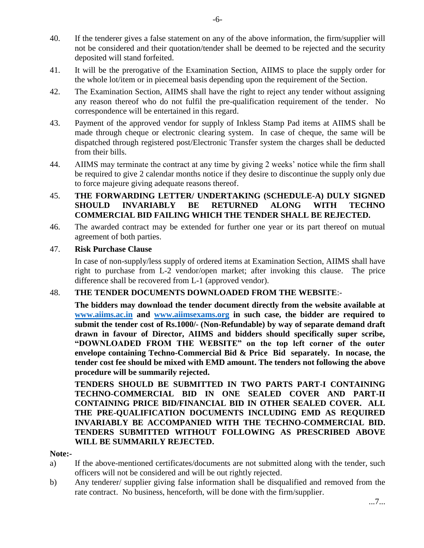- 40. If the tenderer gives a false statement on any of the above information, the firm/supplier will not be considered and their quotation/tender shall be deemed to be rejected and the security deposited will stand forfeited.
- 41. It will be the prerogative of the Examination Section, AIIMS to place the supply order for the whole lot/item or in piecemeal basis depending upon the requirement of the Section.
- 42. The Examination Section, AIIMS shall have the right to reject any tender without assigning any reason thereof who do not fulfil the pre-qualification requirement of the tender. No correspondence will be entertained in this regard.
- 43. Payment of the approved vendor for supply of Inkless Stamp Pad items at AIIMS shall be made through cheque or electronic clearing system. In case of cheque, the same will be dispatched through registered post/Electronic Transfer system the charges shall be deducted from their bills.
- 44. AIIMS may terminate the contract at any time by giving 2 weeks" notice while the firm shall be required to give 2 calendar months notice if they desire to discontinue the supply only due to force majeure giving adequate reasons thereof.

# 45. **THE FORWARDING LETTER/ UNDERTAKING (SCHEDULE-A) DULY SIGNED SHOULD INVARIABLY BE RETURNED ALONG WITH TECHNO COMMERCIAL BID FAILING WHICH THE TENDER SHALL BE REJECTED.**

46. The awarded contract may be extended for further one year or its part thereof on mutual agreement of both parties.

#### 47. **Risk Purchase Clause**

In case of non-supply/less supply of ordered items at Examination Section, AIIMS shall have right to purchase from L-2 vendor/open market; after invoking this clause. The price difference shall be recovered from L-1 (approved vendor).

# 48. **THE TENDER DOCUMENTS DOWNLOADED FROM THE WEBSITE**:-

**The bidders may download the tender document directly from the website available at [www.aiims.ac.in](http://www.aiims.ac.in/) and [www.aiimsexams.org](http://www.aiimsexams.org/) in such case, the bidder are required to submit the tender cost of Rs.1000/- (Non-Refundable) by way of separate demand draft drawn in favour of Director, AIIMS and bidders should specifically super scribe,**  "DOWNLOADED FROM THE WEBSITE" on the top left corner of the outer **envelope containing Techno-Commercial Bid & Price Bid separately. In nocase, the tender cost fee should be mixed with EMD amount. The tenders not following the above procedure will be summarily rejected.**

**TENDERS SHOULD BE SUBMITTED IN TWO PARTS PART-I CONTAINING TECHNO-COMMERCIAL BID IN ONE SEALED COVER AND PART-II CONTAINING PRICE BID/FINANCIAL BID IN OTHER SEALED COVER. ALL THE PRE-QUALIFICATION DOCUMENTS INCLUDING EMD AS REQUIRED INVARIABLY BE ACCOMPANIED WITH THE TECHNO-COMMERCIAL BID. TENDERS SUBMITTED WITHOUT FOLLOWING AS PRESCRIBED ABOVE WILL BE SUMMARILY REJECTED.**

#### **Note:-**

- a) If the above-mentioned certificates/documents are not submitted along with the tender, such officers will not be considered and will be out rightly rejected.
- b) Any tenderer/ supplier giving false information shall be disqualified and removed from the rate contract. No business, henceforth, will be done with the firm/supplier.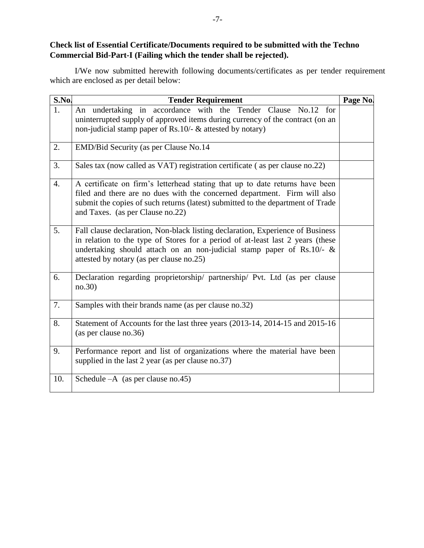**Check list of Essential Certificate/Documents required to be submitted with the Techno Commercial Bid-Part-I (Failing which the tender shall be rejected).**

I/We now submitted herewith following documents/certificates as per tender requirement which are enclosed as per detail below:

| S.No. | <b>Tender Requirement</b>                                                                                                                                                                                                                                                                | Page No. |  |  |
|-------|------------------------------------------------------------------------------------------------------------------------------------------------------------------------------------------------------------------------------------------------------------------------------------------|----------|--|--|
| 1.    | An undertaking in accordance with the Tender Clause No.12 for<br>uninterrupted supply of approved items during currency of the contract (on an<br>non-judicial stamp paper of Rs.10/- & attested by notary)                                                                              |          |  |  |
| 2.    | EMD/Bid Security (as per Clause No.14                                                                                                                                                                                                                                                    |          |  |  |
| 3.    | Sales tax (now called as VAT) registration certificate (as per clause no.22)                                                                                                                                                                                                             |          |  |  |
| 4.    | A certificate on firm's letterhead stating that up to date returns have been<br>filed and there are no dues with the concerned department. Firm will also<br>submit the copies of such returns (latest) submitted to the department of Trade<br>and Taxes. (as per Clause no.22)         |          |  |  |
| 5.    | Fall clause declaration, Non-black listing declaration, Experience of Business<br>in relation to the type of Stores for a period of at-least last 2 years (these<br>undertaking should attach on an non-judicial stamp paper of Rs.10/- $\&$<br>attested by notary (as per clause no.25) |          |  |  |
| 6.    | Declaration regarding proprietorship/ partnership/ Pvt. Ltd (as per clause<br>no.30)                                                                                                                                                                                                     |          |  |  |
| 7.    | Samples with their brands name (as per clause no.32)                                                                                                                                                                                                                                     |          |  |  |
| 8.    | Statement of Accounts for the last three years (2013-14, 2014-15 and 2015-16<br>(as per clause no.36)                                                                                                                                                                                    |          |  |  |
| 9.    | Performance report and list of organizations where the material have been<br>supplied in the last 2 year (as per clause no.37)                                                                                                                                                           |          |  |  |
| 10.   | Schedule $-A$ (as per clause no.45)                                                                                                                                                                                                                                                      |          |  |  |